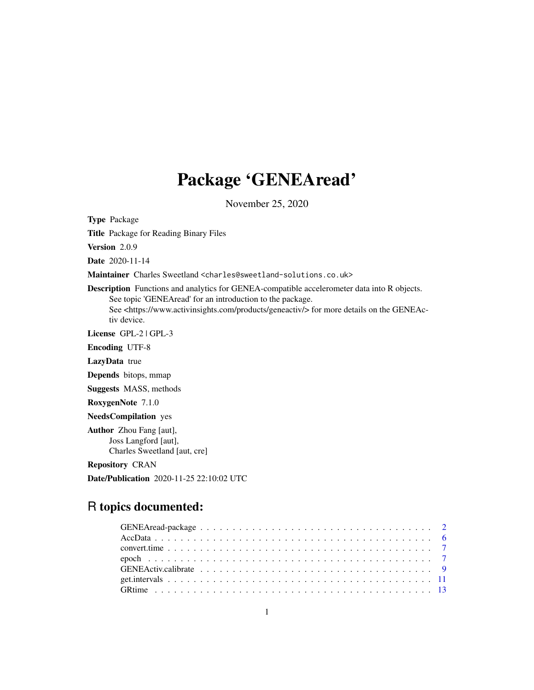# Package 'GENEAread'

November 25, 2020

<span id="page-0-0"></span>Type Package

Title Package for Reading Binary Files

Version 2.0.9

Date 2020-11-14

Maintainer Charles Sweetland <charles@sweetland-solutions.co.uk>

Description Functions and analytics for GENEA-compatible accelerometer data into R objects. See topic 'GENEAread' for an introduction to the package. See <https://www.activinsights.com/products/geneactiv/> for more details on the GENEActiv device.

License GPL-2 | GPL-3

Encoding UTF-8

LazyData true

Depends bitops, mmap

Suggests MASS, methods

RoxygenNote 7.1.0

NeedsCompilation yes

Author Zhou Fang [aut], Joss Langford [aut], Charles Sweetland [aut, cre]

Repository CRAN

Date/Publication 2020-11-25 22:10:02 UTC

# R topics documented: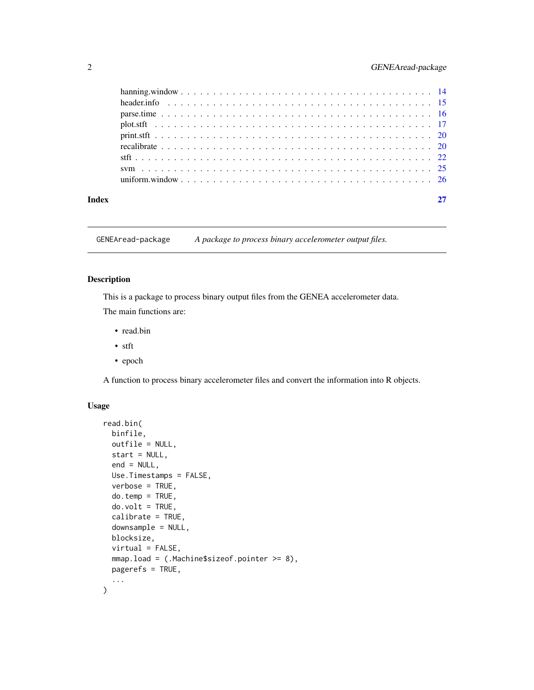<span id="page-1-0"></span>

| Index |  |
|-------|--|

GENEAread-package *A package to process binary accelerometer output files.*

### <span id="page-1-1"></span>Description

This is a package to process binary output files from the GENEA accelerometer data. The main functions are:

- read.bin
- stft
- epoch

A function to process binary accelerometer files and convert the information into R objects.

## Usage

```
read.bin(
 binfile,
 outfile = NULL,
 start = NULL,
 end = NULL,Use.Timestamps = FALSE,
 verbose = TRUE,
 do.temp = TRUE,
 do.volt = TRUE,calibrate = TRUE,
  downsample = NULL,
 blocksize,
 virtual = FALSE,
 mmap.load = (.Machine$sizeof.pointer >= 8),
 pagerefs = TRUE,
  ...
)
```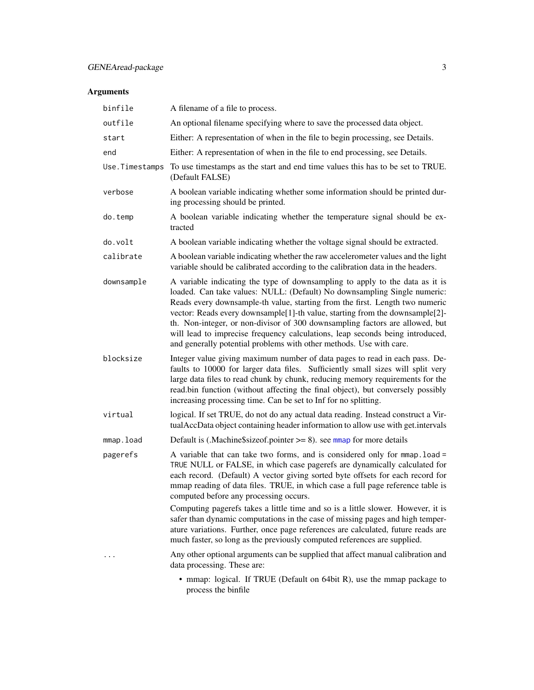# <span id="page-2-0"></span>Arguments

| binfile        | A filename of a file to process.                                                                                                                                                                                                                                                                                                                                                                                                                                                                                                                                 |
|----------------|------------------------------------------------------------------------------------------------------------------------------------------------------------------------------------------------------------------------------------------------------------------------------------------------------------------------------------------------------------------------------------------------------------------------------------------------------------------------------------------------------------------------------------------------------------------|
| outfile        | An optional filename specifying where to save the processed data object.                                                                                                                                                                                                                                                                                                                                                                                                                                                                                         |
| start          | Either: A representation of when in the file to begin processing, see Details.                                                                                                                                                                                                                                                                                                                                                                                                                                                                                   |
| end            | Either: A representation of when in the file to end processing, see Details.                                                                                                                                                                                                                                                                                                                                                                                                                                                                                     |
| Use.Timestamps | To use timestamps as the start and end time values this has to be set to TRUE.<br>(Default FALSE)                                                                                                                                                                                                                                                                                                                                                                                                                                                                |
| verbose        | A boolean variable indicating whether some information should be printed dur-<br>ing processing should be printed.                                                                                                                                                                                                                                                                                                                                                                                                                                               |
| do.temp        | A boolean variable indicating whether the temperature signal should be ex-<br>tracted                                                                                                                                                                                                                                                                                                                                                                                                                                                                            |
| do.volt        | A boolean variable indicating whether the voltage signal should be extracted.                                                                                                                                                                                                                                                                                                                                                                                                                                                                                    |
| calibrate      | A boolean variable indicating whether the raw accelerometer values and the light<br>variable should be calibrated according to the calibration data in the headers.                                                                                                                                                                                                                                                                                                                                                                                              |
| downsample     | A variable indicating the type of downsampling to apply to the data as it is<br>loaded. Can take values: NULL: (Default) No downsampling Single numeric:<br>Reads every downsample-th value, starting from the first. Length two numeric<br>vector: Reads every downsample[1]-th value, starting from the downsample[2]-<br>th. Non-integer, or non-divisor of 300 downsampling factors are allowed, but<br>will lead to imprecise frequency calculations, leap seconds being introduced,<br>and generally potential problems with other methods. Use with care. |
| blocksize      | Integer value giving maximum number of data pages to read in each pass. De-<br>faults to 10000 for larger data files. Sufficiently small sizes will split very<br>large data files to read chunk by chunk, reducing memory requirements for the<br>read.bin function (without affecting the final object), but conversely possibly<br>increasing processing time. Can be set to Inf for no splitting.                                                                                                                                                            |
| virtual        | logical. If set TRUE, do not do any actual data reading. Instead construct a Vir-<br>tualAccData object containing header information to allow use with get.intervals                                                                                                                                                                                                                                                                                                                                                                                            |
| mmap.load      | Default is (.Machine \$size of pointer $\geq$ = 8). see mmap for more details                                                                                                                                                                                                                                                                                                                                                                                                                                                                                    |
| pagerefs       | A variable that can take two forms, and is considered only for mmap. load =<br>TRUE NULL or FALSE, in which case pagerefs are dynamically calculated for<br>each record. (Default) A vector giving sorted byte offsets for each record for<br>mmap reading of data files. TRUE, in which case a full page reference table is<br>computed before any processing occurs.                                                                                                                                                                                           |
|                | Computing pagerefs takes a little time and so is a little slower. However, it is<br>safer than dynamic computations in the case of missing pages and high temper-<br>ature variations. Further, once page references are calculated, future reads are<br>much faster, so long as the previously computed references are supplied.                                                                                                                                                                                                                                |
|                | Any other optional arguments can be supplied that affect manual calibration and<br>data processing. These are:                                                                                                                                                                                                                                                                                                                                                                                                                                                   |
|                | • mmap: logical. If TRUE (Default on 64bit R), use the mmap package to<br>process the binfile                                                                                                                                                                                                                                                                                                                                                                                                                                                                    |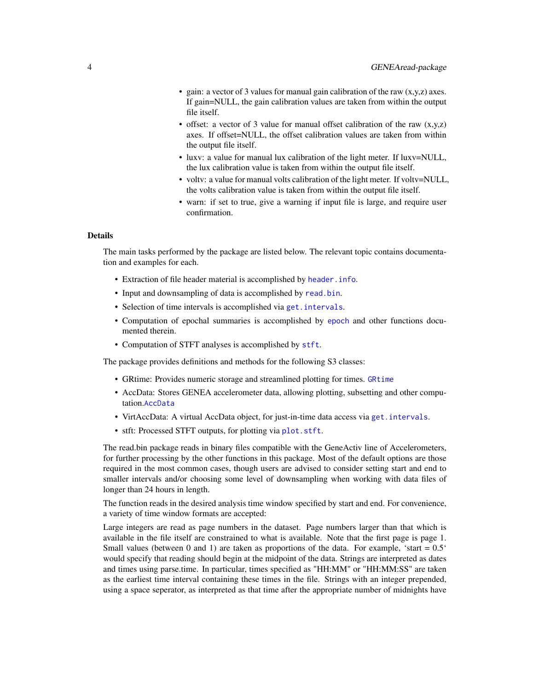- <span id="page-3-0"></span>• gain: a vector of 3 values for manual gain calibration of the raw  $(x,y,z)$  axes. If gain=NULL, the gain calibration values are taken from within the output file itself.
- offset: a vector of 3 value for manual offset calibration of the raw  $(x,y,z)$ axes. If offset=NULL, the offset calibration values are taken from within the output file itself.
- luxv: a value for manual lux calibration of the light meter. If luxv=NULL, the lux calibration value is taken from within the output file itself.
- voltv: a value for manual volts calibration of the light meter. If voltv=NULL, the volts calibration value is taken from within the output file itself.
- warn: if set to true, give a warning if input file is large, and require user confirmation.

#### Details

The main tasks performed by the package are listed below. The relevant topic contains documentation and examples for each.

- Extraction of file header material is accomplished by [header.info](#page-14-1).
- Input and downsampling of data is accomplished by [read.bin](#page-1-1).
- Selection of time intervals is accomplished via [get.intervals](#page-10-1).
- Computation of epochal summaries is accomplished by [epoch](#page-6-1) and other functions documented therein.
- Computation of STFT analyses is accomplished by [stft](#page-21-1).

The package provides definitions and methods for the following S3 classes:

- GRtime: Provides numeric storage and streamlined plotting for times. [GRtime](#page-12-1)
- AccData: Stores GENEA accelerometer data, allowing plotting, subsetting and other computation.[AccData](#page-5-1)
- VirtAccData: A virtual AccData object, for just-in-time data access via get. intervals.
- stft: Processed STFT outputs, for plotting via [plot.stft](#page-16-1).

The read.bin package reads in binary files compatible with the GeneActiv line of Accelerometers, for further processing by the other functions in this package. Most of the default options are those required in the most common cases, though users are advised to consider setting start and end to smaller intervals and/or choosing some level of downsampling when working with data files of longer than 24 hours in length.

The function reads in the desired analysis time window specified by start and end. For convenience, a variety of time window formats are accepted:

Large integers are read as page numbers in the dataset. Page numbers larger than that which is available in the file itself are constrained to what is available. Note that the first page is page 1. Small values (between 0 and 1) are taken as proportions of the data. For example, 'start  $= 0.5$ ' would specify that reading should begin at the midpoint of the data. Strings are interpreted as dates and times using parse.time. In particular, times specified as "HH:MM" or "HH:MM:SS" are taken as the earliest time interval containing these times in the file. Strings with an integer prepended, using a space seperator, as interpreted as that time after the appropriate number of midnights have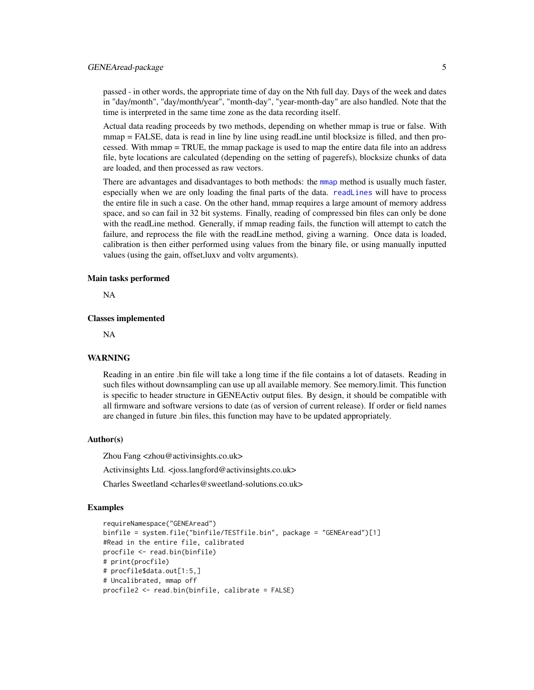<span id="page-4-0"></span>passed - in other words, the appropriate time of day on the Nth full day. Days of the week and dates in "day/month", "day/month/year", "month-day", "year-month-day" are also handled. Note that the time is interpreted in the same time zone as the data recording itself.

Actual data reading proceeds by two methods, depending on whether mmap is true or false. With mmap = FALSE, data is read in line by line using readLine until blocksize is filled, and then processed. With mmap = TRUE, the mmap package is used to map the entire data file into an address file, byte locations are calculated (depending on the setting of pagerefs), blocksize chunks of data are loaded, and then processed as raw vectors.

There are advantages and disadvantages to both methods: the [mmap](#page-0-0) method is usually much faster, especially when we are only loading the final parts of the data. [readLines](#page-0-0) will have to process the entire file in such a case. On the other hand, mmap requires a large amount of memory address space, and so can fail in 32 bit systems. Finally, reading of compressed bin files can only be done with the readLine method. Generally, if mmap reading fails, the function will attempt to catch the failure, and reprocess the file with the readLine method, giving a warning. Once data is loaded, calibration is then either performed using values from the binary file, or using manually inputted values (using the gain, offset,luxv and voltv arguments).

#### Main tasks performed

NA

#### Classes implemented

NA

#### **WARNING**

Reading in an entire .bin file will take a long time if the file contains a lot of datasets. Reading in such files without downsampling can use up all available memory. See memory.limit. This function is specific to header structure in GENEActiv output files. By design, it should be compatible with all firmware and software versions to date (as of version of current release). If order or field names are changed in future .bin files, this function may have to be updated appropriately.

#### Author(s)

Zhou Fang <zhou@activinsights.co.uk>

Activinsights Ltd. <joss.langford@activinsights.co.uk>

Charles Sweetland <charles@sweetland-solutions.co.uk>

```
requireNamespace("GENEAread")
binfile = system.file("binfile/TESTfile.bin", package = "GENEAread")[1]
#Read in the entire file, calibrated
procfile <- read.bin(binfile)
# print(procfile)
# procfile$data.out[1:5,]
# Uncalibrated, mmap off
procfile2 <- read.bin(binfile, calibrate = FALSE)
```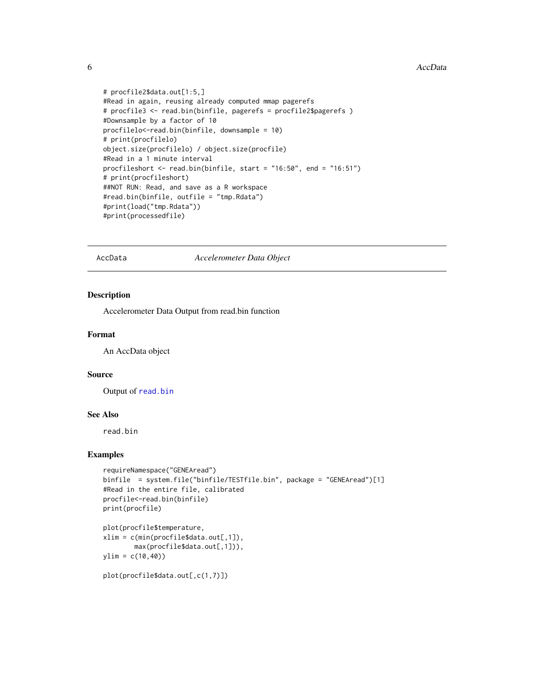#### <span id="page-5-0"></span>6 and the contract of the contract of the contract of the contract of the contract of the contract of the contract of the contract of the contract of the contract of the contract of the contract of the contract of the cont

```
# procfile2$data.out[1:5,]
#Read in again, reusing already computed mmap pagerefs
# procfile3 <- read.bin(binfile, pagerefs = procfile2$pagerefs )
#Downsample by a factor of 10
procfilelo<-read.bin(binfile, downsample = 10)
# print(procfilelo)
object.size(procfilelo) / object.size(procfile)
#Read in a 1 minute interval
procfileshort <- read.bin(binfile, start = "16:50", end = "16:51")
# print(procfileshort)
##NOT RUN: Read, and save as a R workspace
#read.bin(binfile, outfile = "tmp.Rdata")
#print(load("tmp.Rdata"))
#print(processedfile)
```
#### <span id="page-5-1"></span>AccData *Accelerometer Data Object*

#### Description

Accelerometer Data Output from read.bin function

#### Format

An AccData object

#### Source

Output of [read.bin](#page-1-1)

#### See Also

read.bin

#### Examples

```
requireNamespace("GENEAread")
binfile = system.file("binfile/TESTfile.bin", package = "GENEAread")[1]
#Read in the entire file, calibrated
procfile<-read.bin(binfile)
print(procfile)
```

```
plot(procfile$temperature,
xlim = c(min(procfile$data.out[,1]),
       max(procfile$data.out[,1])),
ylim = c(10, 40)
```
plot(procfile\$data.out[,c(1,7)])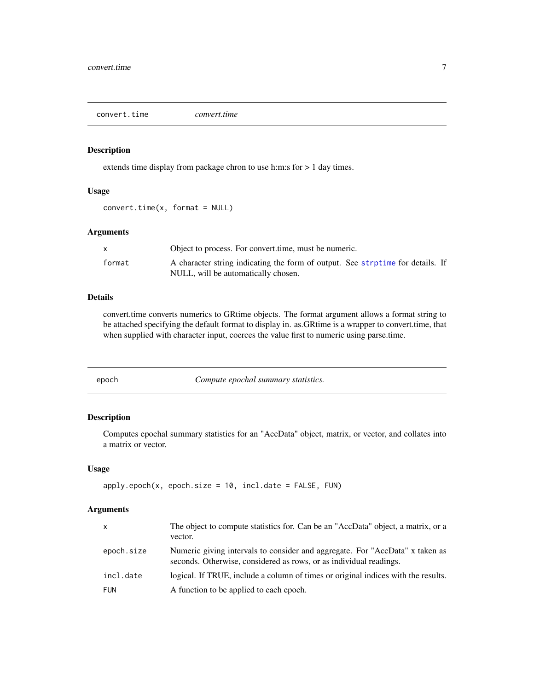<span id="page-6-2"></span><span id="page-6-0"></span>convert.time *convert.time*

#### Description

extends time display from package chron to use h:m:s for > 1 day times.

### Usage

 $convert.time(x, format = NULL)$ 

#### Arguments

|        | Object to process. For convert time, must be numeric.                          |
|--------|--------------------------------------------------------------------------------|
| format | A character string indicating the form of output. See strptime for details. If |
|        | NULL, will be automatically chosen.                                            |

# Details

convert.time converts numerics to GRtime objects. The format argument allows a format string to be attached specifying the default format to display in. as.GRtime is a wrapper to convert.time, that when supplied with character input, coerces the value first to numeric using parse.time.

<span id="page-6-1"></span>

Compute epochal summary statistics.

#### Description

Computes epochal summary statistics for an "AccData" object, matrix, or vector, and collates into a matrix or vector.

#### Usage

```
apply.epoch(x, epoch.size = 10, incl.date = FALSE, FUN)
```
#### Arguments

| $\mathsf{x}$ | The object to compute statistics for. Can be an "AccData" object, a matrix, or a<br>vector.                                                        |
|--------------|----------------------------------------------------------------------------------------------------------------------------------------------------|
| epoch.size   | Numeric giving intervals to consider and aggregate. For "AccData" x taken as<br>seconds. Otherwise, considered as rows, or as individual readings. |
| incl.date    | logical. If TRUE, include a column of times or original indices with the results.                                                                  |
| FUN          | A function to be applied to each epoch.                                                                                                            |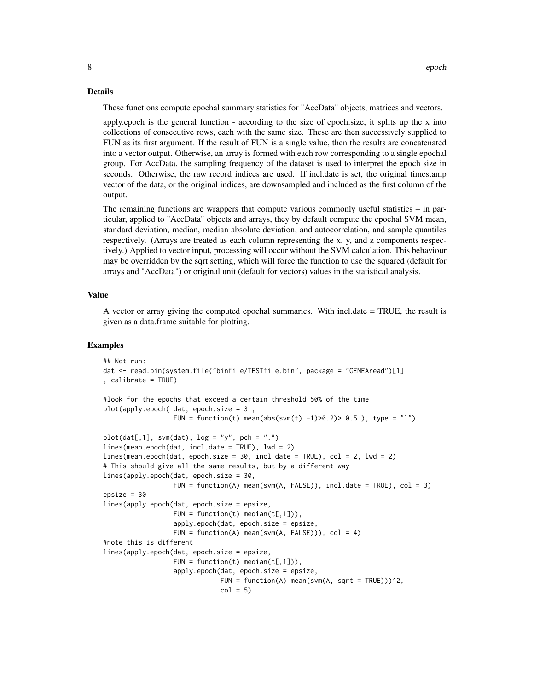#### Details

These functions compute epochal summary statistics for "AccData" objects, matrices and vectors.

apply.epoch is the general function - according to the size of epoch.size, it splits up the x into collections of consecutive rows, each with the same size. These are then successively supplied to FUN as its first argument. If the result of FUN is a single value, then the results are concatenated into a vector output. Otherwise, an array is formed with each row corresponding to a single epochal group. For AccData, the sampling frequency of the dataset is used to interpret the epoch size in seconds. Otherwise, the raw record indices are used. If incl.date is set, the original timestamp vector of the data, or the original indices, are downsampled and included as the first column of the output.

The remaining functions are wrappers that compute various commonly useful statistics  $-$  in particular, applied to "AccData" objects and arrays, they by default compute the epochal SVM mean, standard deviation, median, median absolute deviation, and autocorrelation, and sample quantiles respectively. (Arrays are treated as each column representing the x, y, and z components respectively.) Applied to vector input, processing will occur without the SVM calculation. This behaviour may be overridden by the sqrt setting, which will force the function to use the squared (default for arrays and "AccData") or original unit (default for vectors) values in the statistical analysis.

#### Value

A vector or array giving the computed epochal summaries. With incl.date = TRUE, the result is given as a data.frame suitable for plotting.

```
## Not run:
dat <- read.bin(system.file("binfile/TESTfile.bin", package = "GENEAread")[1]
, calibrate = TRUE)
#look for the epochs that exceed a certain threshold 50% of the time
plot(apply.epoch( dat, epoch.size = 3 ,
                  FUN = function(t) mean(abs(svm(t) -1)>0.2)> 0.5), type = "1")
plot(data[, 1], sym(data), log = "y", pch = ".")lines(mean.epoch(dat, incl.date = TRUE), lwd = 2)
lines(mean.epoch(dat, epoch.size = 30, incl.date = TRUE), col = 2, lwd = 2)
# This should give all the same results, but by a different way
lines(apply.epoch(dat, epoch.size = 30,
                  FUN = function(A) mean(svm(A, FALSE)), incl.date = TRUE), col = 3)
epsize = 30
lines(apply.epoch(dat, epoch.size = epsize,
                  FUN = function(t) median(t[,1])),
                  apply.epoch(dat, epoch.size = epsize,
                  FUN = function(A) mean(svm(A, FALSE)), col = 4)
#note this is different
lines(apply.epoch(dat, epoch.size = epsize,
                  FUN = function(t) median(t[,1])),
                  apply.epoch(dat, epoch.size = epsize,
                              FUN = function(A) mean(svm(A, sqrt = TRUE)))^22,
                              col = 5
```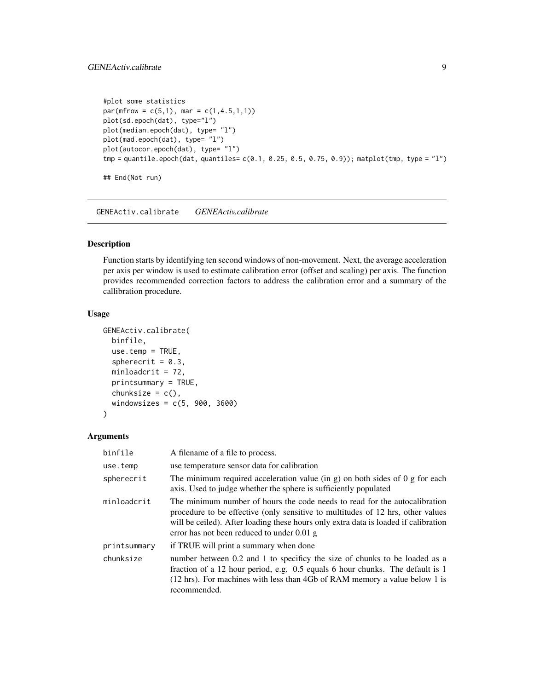#### <span id="page-8-0"></span>GENEActiv.calibrate 9

```
#plot some statistics
par(mfrow = c(5,1), mar = c(1,4.5,1,1))plot(sd.epoch(dat), type="l")
plot(median.epoch(dat), type= "l")
plot(mad.epoch(dat), type= "l")
plot(autocor.epoch(dat), type= "l")
tmp = quantile.epoch(dat, quantiles= c(0.1, 0.25, 0.5, 0.75, 0.9)); matplot(tmp, type = "l")
## End(Not run)
```
GENEActiv.calibrate *GENEActiv.calibrate*

### Description

Function starts by identifying ten second windows of non-movement. Next, the average acceleration per axis per window is used to estimate calibration error (offset and scaling) per axis. The function provides recommended correction factors to address the calibration error and a summary of the callibration procedure.

#### Usage

```
GENEActiv.calibrate(
 binfile,
 use.temp = TRUE,spherecrit = 0.3,
 minloadcrit = 72,
 printsummary = TRUE,
  chunksize = c(),
 windowsizes = c(5, 900, 3600))
```
#### Arguments

| binfile      | A filename of a file to process.                                                                                                                                                                                                                                                                     |
|--------------|------------------------------------------------------------------------------------------------------------------------------------------------------------------------------------------------------------------------------------------------------------------------------------------------------|
| use.temp     | use temperature sensor data for calibration                                                                                                                                                                                                                                                          |
| spherecrit   | The minimum required acceleration value (in $g$ ) on both sides of 0 $g$ for each<br>axis. Used to judge whether the sphere is sufficiently populated                                                                                                                                                |
| minloadcrit  | The minimum number of hours the code needs to read for the autocalibration<br>procedure to be effective (only sensitive to multitudes of 12 hrs, other values<br>will be ceiled). After loading these hours only extra data is loaded if calibration<br>error has not been reduced to under $0.01$ g |
| printsummary | if TRUE will print a summary when done                                                                                                                                                                                                                                                               |
| chunksize    | number between 0.2 and 1 to specificy the size of chunks to be loaded as a<br>fraction of a 12 hour period, e.g. 0.5 equals 6 hour chunks. The default is 1<br>(12 hrs). For machines with less than 4Gb of RAM memory a value below 1 is<br>recommended.                                            |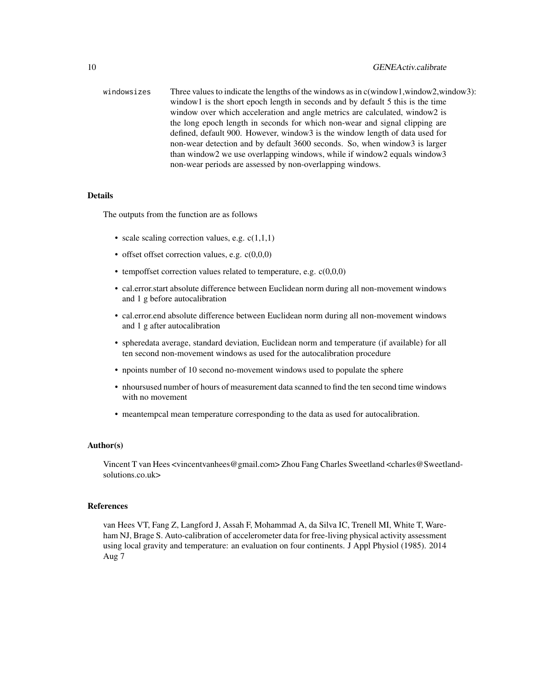windowsizes Three values to indicate the lengths of the windows as in c(window1,window2,window3): window1 is the short epoch length in seconds and by default 5 this is the time window over which acceleration and angle metrics are calculated, window2 is the long epoch length in seconds for which non-wear and signal clipping are defined, default 900. However, window3 is the window length of data used for non-wear detection and by default 3600 seconds. So, when window3 is larger than window2 we use overlapping windows, while if window2 equals window3 non-wear periods are assessed by non-overlapping windows.

#### Details

The outputs from the function are as follows

- scale scaling correction values, e.g.  $c(1,1,1)$
- offset offset correction values, e.g.  $c(0,0,0)$
- tempoffset correction values related to temperature, e.g.  $c(0,0,0)$
- cal.error.start absolute difference between Euclidean norm during all non-movement windows and 1 g before autocalibration
- cal.error.end absolute difference between Euclidean norm during all non-movement windows and 1 g after autocalibration
- spheredata average, standard deviation, Euclidean norm and temperature (if available) for all ten second non-movement windows as used for the autocalibration procedure
- npoints number of 10 second no-movement windows used to populate the sphere
- nhoursused number of hours of measurement data scanned to find the ten second time windows with no movement
- meantempcal mean temperature corresponding to the data as used for autocalibration.

#### Author(s)

Vincent T van Hees <vincentvanhees@gmail.com> Zhou Fang Charles Sweetland <charles@Sweetlandsolutions.co.uk>

#### References

van Hees VT, Fang Z, Langford J, Assah F, Mohammad A, da Silva IC, Trenell MI, White T, Wareham NJ, Brage S. Auto-calibration of accelerometer data for free-living physical activity assessment using local gravity and temperature: an evaluation on four continents. J Appl Physiol (1985). 2014 Aug 7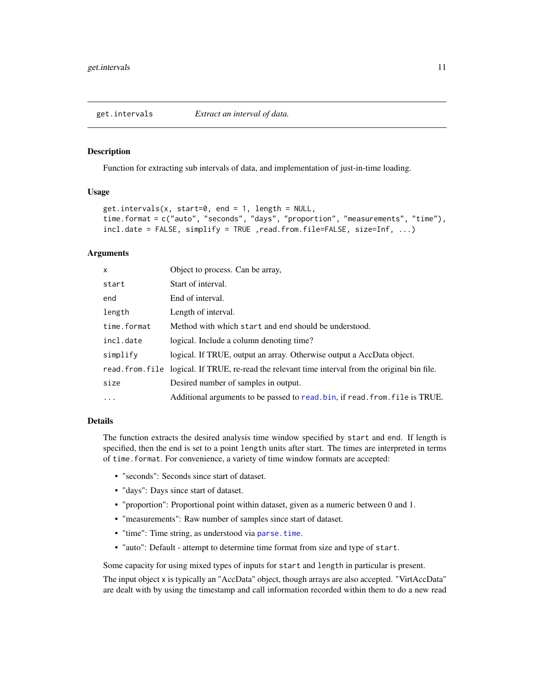<span id="page-10-1"></span><span id="page-10-0"></span>get.intervals *Extract an interval of data.*

#### Description

Function for extracting sub intervals of data, and implementation of just-in-time loading.

# Usage

```
get.intervals(x, start=0, end = 1, length = NULL,time.format = c("auto", "seconds", "days", "proportion", "measurements", "time"),
incl.date = FALSE, simplify = TRUE ,read.from.file=FALSE, size=Inf, ...)
```
# Arguments

| $\mathsf{x}$ | Object to process. Can be array,                                                                  |
|--------------|---------------------------------------------------------------------------------------------------|
| start        | Start of interval.                                                                                |
| end          | End of interval.                                                                                  |
| length       | Length of interval.                                                                               |
| time.format  | Method with which start and end should be understood.                                             |
| incl.date    | logical. Include a column denoting time?                                                          |
| simplify     | logical. If TRUE, output an array. Otherwise output a AccData object.                             |
|              | read. from. file logical. If TRUE, re-read the relevant time interval from the original bin file. |
| size         | Desired number of samples in output.                                                              |
| $\ddots$     | Additional arguments to be passed to read. bin, if read. from. file is TRUE.                      |

#### Details

The function extracts the desired analysis time window specified by start and end. If length is specified, then the end is set to a point length units after start. The times are interpreted in terms of time.format. For convenience, a variety of time window formats are accepted:

- "seconds": Seconds since start of dataset.
- "days": Days since start of dataset.
- "proportion": Proportional point within dataset, given as a numeric between 0 and 1.
- "measurements": Raw number of samples since start of dataset.
- "time": Time string, as understood via [parse.time](#page-15-1).
- "auto": Default attempt to determine time format from size and type of start.

Some capacity for using mixed types of inputs for start and length in particular is present.

The input object x is typically an "AccData" object, though arrays are also accepted. "VirtAccData" are dealt with by using the timestamp and call information recorded within them to do a new read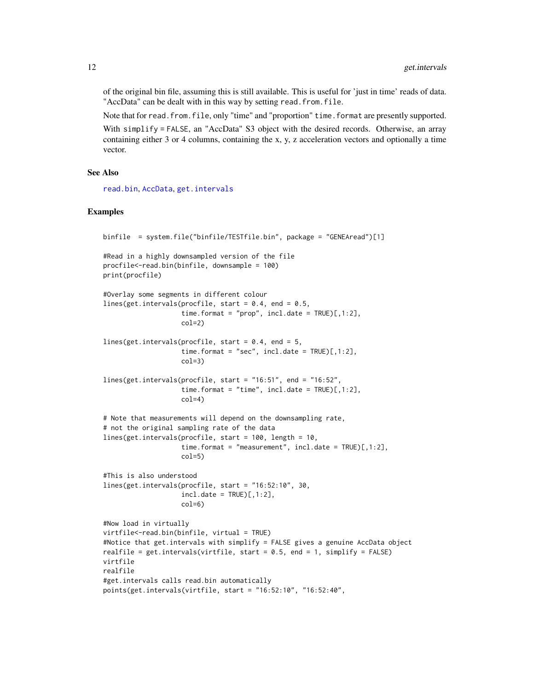of the original bin file, assuming this is still available. This is useful for 'just in time' reads of data. "AccData" can be dealt with in this way by setting read.from.file.

Note that for read.from.file, only "time" and "proportion" time.format are presently supported.

With simplify = FALSE, an "AccData" S3 object with the desired records. Otherwise, an array containing either 3 or 4 columns, containing the x, y, z acceleration vectors and optionally a time vector.

#### See Also

[read.bin](#page-1-1), [AccData](#page-5-1), [get.intervals](#page-10-1)

```
binfile = system.file("binfile/TESTfile.bin", package = "GENEAread")[1]
#Read in a highly downsampled version of the file
procfile<-read.bin(binfile, downsample = 100)
print(procfile)
#Overlay some segments in different colour
lines(get.intervals(procfile, start = 0.4, end = 0.5,
                    time.format = "prop", incl.data = TRUE)[1:2],col=2)
lines(get.intervals(procfile, start = 0.4, end = 5,
                    time.format = "sec", incl.data = TRUE[,1:2],
                    col=3)
lines(get.intervals(procfile, start = "16:51", end = "16:52",
                    time.format = "time", incl.date = TRUE)[,1:2],
                    col=4)
# Note that measurements will depend on the downsampling rate,
# not the original sampling rate of the data
lines(get.intervals(procfile, start = 100, length = 10,
                    time.format = "measurement", incl.date = TRUE)[,1:2],
                    col=5)
#This is also understood
lines(get.intervals(procfile, start = "16:52:10", 30,
                   incl.data = TRUE)[1:2],col=6)
#Now load in virtually
virtfile<-read.bin(binfile, virtual = TRUE)
#Notice that get.intervals with simplify = FALSE gives a genuine AccData object
realfile = get.intervals(virtfile, start = 0.5, end = 1, simplify = FALSE)
virtfile
realfile
#get.intervals calls read.bin automatically
points(get.intervals(virtfile, start = "16:52:10", "16:52:40",
```
<span id="page-11-0"></span>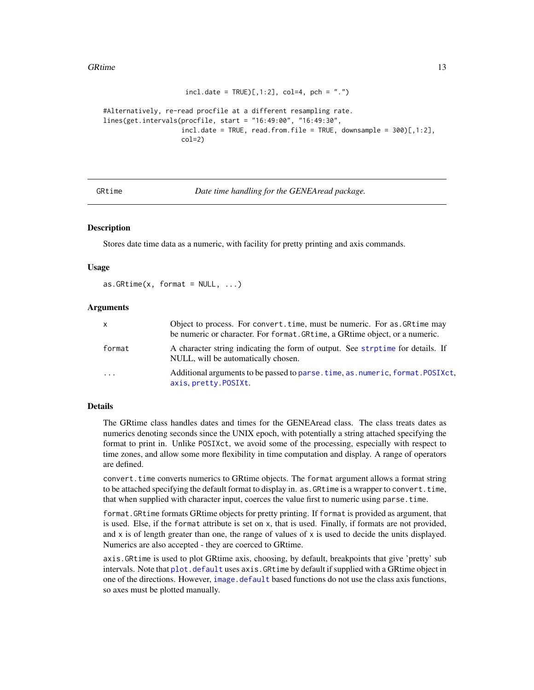#### <span id="page-12-0"></span>GRtime 13

```
incl.data = TRUE)[1:2], col=4, pch = "."#Alternatively, re-read procfile at a different resampling rate.
lines(get.intervals(procfile, start = "16:49:00", "16:49:30",
                   incl.data = TRUE, read from-file = TRUE, downsample = 300)[,1:2],col=2
```
<span id="page-12-1"></span>GRtime *Date time handling for the GENEAread package.*

#### **Description**

Stores date time data as a numeric, with facility for pretty printing and axis commands.

#### Usage

```
as.GRtime(x, format = NULL, ...)
```
#### Arguments

| x      | Object to process. For convert. time, must be numeric. For as GRtime may<br>be numeric or character. For format. GRtime, a GRtime object, or a numeric. |
|--------|---------------------------------------------------------------------------------------------------------------------------------------------------------|
| format | A character string indicating the form of output. See strptime for details. If<br>NULL, will be automatically chosen.                                   |
| .      | Additional arguments to be passed to parse, time, as, numeric, format, POSIXct,<br>axis.pretty.POSIXt.                                                  |

#### Details

The GRtime class handles dates and times for the GENEAread class. The class treats dates as numerics denoting seconds since the UNIX epoch, with potentially a string attached specifying the format to print in. Unlike POSIXct, we avoid some of the processing, especially with respect to time zones, and allow some more flexibility in time computation and display. A range of operators are defined.

convert. time converts numerics to GRtime objects. The format argument allows a format string to be attached specifying the default format to display in. as. GRtime is a wrapper to convert. time, that when supplied with character input, coerces the value first to numeric using parse.time.

format.GRtime formats GRtime objects for pretty printing. If format is provided as argument, that is used. Else, if the format attribute is set on x, that is used. Finally, if formats are not provided, and  $x$  is of length greater than one, the range of values of  $x$  is used to decide the units displayed. Numerics are also accepted - they are coerced to GRtime.

axis.GRtime is used to plot GRtime axis, choosing, by default, breakpoints that give 'pretty' sub intervals. Note that [plot.default](#page-0-0) uses axis.GRtime by default if supplied with a GRtime object in one of the directions. However, [image.default](#page-0-0) based functions do not use the class axis functions, so axes must be plotted manually.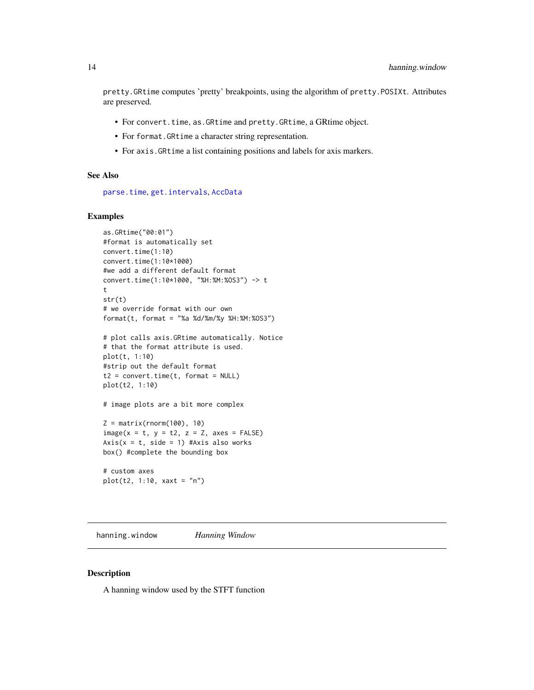<span id="page-13-0"></span>pretty.GRtime computes 'pretty' breakpoints, using the algorithm of pretty.POSIXt. Attributes are preserved.

- For convert.time, as.GRtime and pretty.GRtime, a GRtime object.
- For format.GRtime a character string representation.
- For axis.GRtime a list containing positions and labels for axis markers.

#### See Also

[parse.time](#page-15-1), [get.intervals](#page-10-1), [AccData](#page-5-1)

#### Examples

```
as.GRtime("00:01")
#format is automatically set
convert.time(1:10)
convert.time(1:10*1000)
#we add a different default format
convert.time(1:10*1000, "%H:%M:%OS3") -> t
t
str(t)
# we override format with our own
format(t, format = "%a %d/%m/%y %H:%M:%OS3")
# plot calls axis.GRtime automatically. Notice
# that the format attribute is used.
plot(t, 1:10)
#strip out the default format
t2 = convert.time(t, format = NULL)plot(t2, 1:10)
# image plots are a bit more complex
Z = matrix(rnorm(100), 10)image(x = t, y = t2, z = Z, axes = FALSE)Axis(x = t, side = 1) #Axis also works
box() #complete the bounding box
```
# custom axes plot(t2, 1:10, xaxt = "n")

hanning.window *Hanning Window*

#### Description

A hanning window used by the STFT function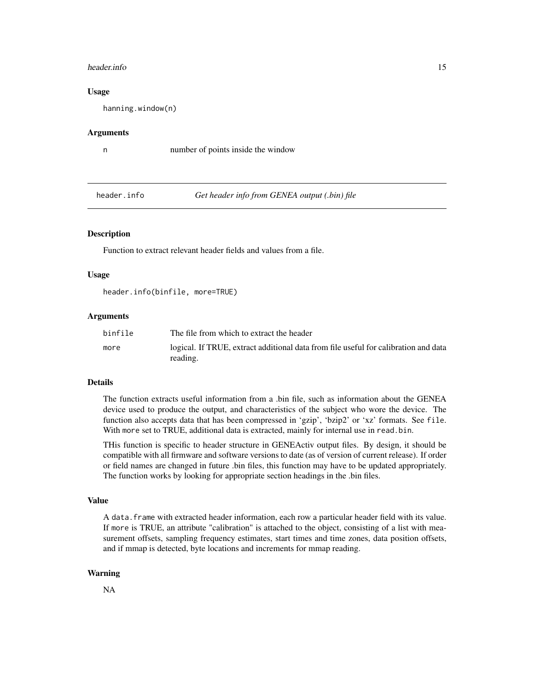#### <span id="page-14-0"></span>header.info 15

#### Usage

hanning.window(n)

#### Arguments

n number of points inside the window

<span id="page-14-1"></span>header.info *Get header info from GENEA output (.bin) file*

#### **Description**

Function to extract relevant header fields and values from a file.

#### Usage

header.info(binfile, more=TRUE)

### Arguments

| binfile | The file from which to extract the header                                                       |
|---------|-------------------------------------------------------------------------------------------------|
| more    | logical. If TRUE, extract additional data from file useful for calibration and data<br>reading. |

#### Details

The function extracts useful information from a .bin file, such as information about the GENEA device used to produce the output, and characteristics of the subject who wore the device. The function also accepts data that has been compressed in 'gzip', 'bzip2' or 'xz' formats. See file. With more set to TRUE, additional data is extracted, mainly for internal use in read.bin.

THis function is specific to header structure in GENEActiv output files. By design, it should be compatible with all firmware and software versions to date (as of version of current release). If order or field names are changed in future .bin files, this function may have to be updated appropriately. The function works by looking for appropriate section headings in the .bin files.

#### Value

A data.frame with extracted header information, each row a particular header field with its value. If more is TRUE, an attribute "calibration" is attached to the object, consisting of a list with measurement offsets, sampling frequency estimates, start times and time zones, data position offsets, and if mmap is detected, byte locations and increments for mmap reading.

#### Warning

NA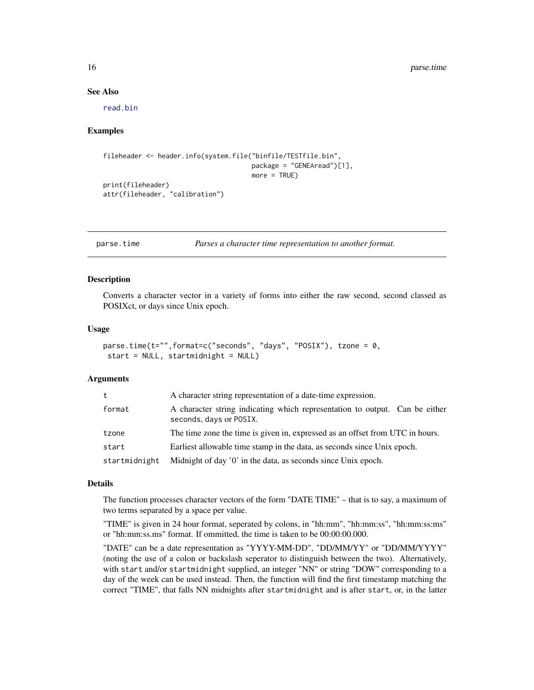#### See Also

[read.bin](#page-1-1)

#### Examples

```
fileheader <- header.info(system.file("binfile/TESTfile.bin",
                                      package = "GENEAread")[1],
                                      more = TRUE)
print(fileheader)
attr(fileheader, "calibration")
```
<span id="page-15-1"></span>parse.time *Parses a character time representation to another format.*

#### Description

Converts a character vector in a variety of forms into either the raw second, second classed as POSIXct, or days since Unix epoch.

#### Usage

```
parse.time(t="",format=c("seconds", "days", "POSIX"), tzone = 0,
 start = NULL, startmidnight = NULL)
```
#### Arguments

| t             | A character string representation of a date-time expression.                                           |
|---------------|--------------------------------------------------------------------------------------------------------|
| format        | A character string indicating which representation to output. Can be either<br>seconds, days or POSIX. |
| tzone         | The time zone the time is given in, expressed as an offset from UTC in hours.                          |
| start         | Earliest allowable time stamp in the data, as seconds since Unix epoch.                                |
| startmidnight | Midnight of day '0' in the data, as seconds since Unix epoch.                                          |

#### Details

The function processes character vectors of the form "DATE TIME" – that is to say, a maximum of two terms separated by a space per value.

"TIME" is given in 24 hour format, seperated by colons, in "hh:mm", "hh:mm:ss", "hh:mm:ss:ms" or "hh:mm:ss.ms" format. If ommitted, the time is taken to be 00:00:00.000.

"DATE" can be a date representation as "YYYY-MM-DD", "DD/MM/YY" or "DD/MM/YYYY" (noting the use of a colon or backslash seperator to distinguish between the two). Alternatively, with start and/or startmidnight supplied, an integer "NN" or string "DOW" corresponding to a day of the week can be used instead. Then, the function will find the first timestamp matching the correct "TIME", that falls NN midnights after startmidnight and is after start, or, in the latter

<span id="page-15-0"></span>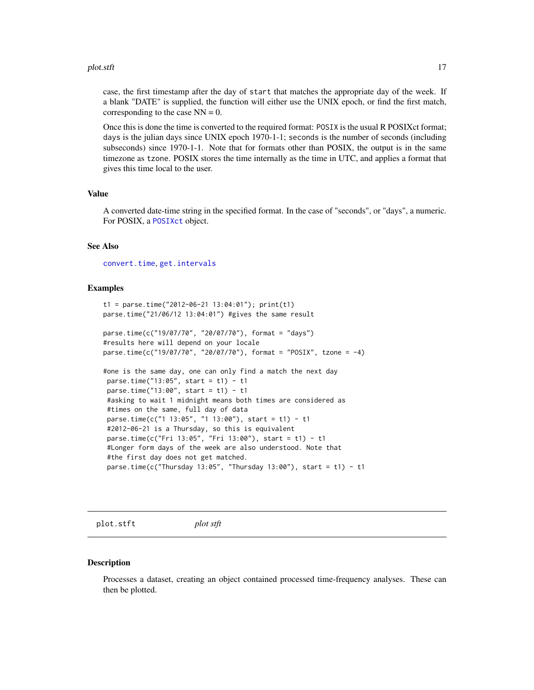#### <span id="page-16-0"></span>plot.stft the contract of the contract of the contract of the contract of the contract of the contract of the contract of the contract of the contract of the contract of the contract of the contract of the contract of the

case, the first timestamp after the day of start that matches the appropriate day of the week. If a blank "DATE" is supplied, the function will either use the UNIX epoch, or find the first match, corresponding to the case  $NN = 0$ .

Once this is done the time is converted to the required format: POSIX is the usual R POSIXct format; days is the julian days since UNIX epoch 1970-1-1; seconds is the number of seconds (including subseconds) since 1970-1-1. Note that for formats other than POSIX, the output is in the same timezone as tzone. POSIX stores the time internally as the time in UTC, and applies a format that gives this time local to the user.

#### Value

A converted date-time string in the specified format. In the case of "seconds", or "days", a numeric. For POSIX, a [POSIXct](#page-0-0) object.

#### See Also

[convert.time](#page-6-2), [get.intervals](#page-10-1)

#### Examples

```
t1 = parse.time("2012-06-21 13:04:01"); print(t1)
parse.time("21/06/12 13:04:01") #gives the same result
parse.time(c("19/07/70", "20/07/70"), format = "days")
#results here will depend on your locale
parse.time(c("19/07/70", "20/07/70"), format = "POSIX", tzone = -4)
#one is the same day, one can only find a match the next day
parse.time("13:05", start = t1) - t1
parse.time("13:00", start = t1) - t1#asking to wait 1 midnight means both times are considered as
 #times on the same, full day of data
 parse.time(c("1 13:05", "1 13:00"), start = t1) - t1
 #2012-06-21 is a Thursday, so this is equivalent
 parse.time(c("Fri 13:05", "Fri 13:00"), start = t1) - t1
#Longer form days of the week are also understood. Note that
 #the first day does not get matched.
 parse.time(c("Thursday 13:05", "Thursday 13:00"), start = t1) - t1
```
<span id="page-16-1"></span>plot.stft *plot stft*

#### **Description**

Processes a dataset, creating an object contained processed time-frequency analyses. These can then be plotted.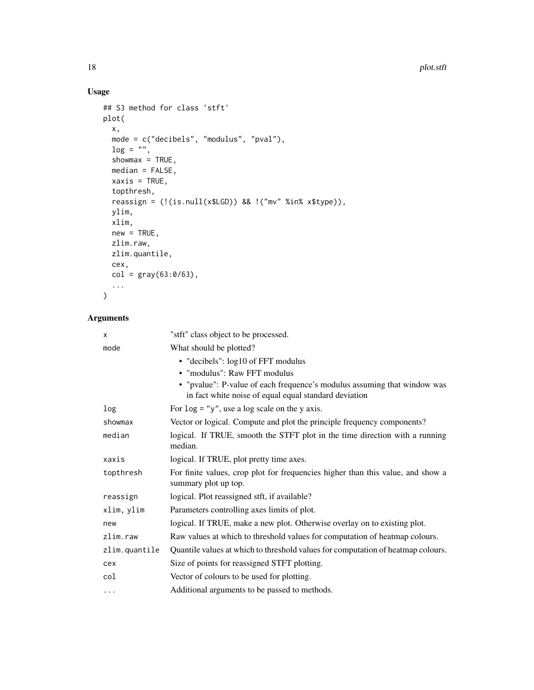# Usage

```
## S3 method for class 'stft'
plot(
  x,
  mode = c("decibels", "modulus", "pval"),
  log = "",showmax = TRUE,
  median = FALSE,
  xaxis = TRUE,topthresh,
  reassign = (!(is.null(x$LGD)) && !("mv" %in% x$type)),
  ylim,
  xlim,
  new = TRUE,zlim.raw,
  zlim.quantile,
  cex,
  col = gray(63:0/63),
  ...
\mathcal{L}
```
# Arguments

| X             | "stft" class object to be processed.                                                                                              |
|---------------|-----------------------------------------------------------------------------------------------------------------------------------|
| mode          | What should be plotted?                                                                                                           |
|               | • "decibels": log10 of FFT modulus                                                                                                |
|               | • "modulus": Raw FFT modulus                                                                                                      |
|               | • "pvalue": P-value of each frequence's modulus assuming that window was<br>in fact white noise of equal equal standard deviation |
| log           | For $\log =$ "y", use a log scale on the y axis.                                                                                  |
| showmax       | Vector or logical. Compute and plot the principle frequency components?                                                           |
| median        | logical. If TRUE, smooth the STFT plot in the time direction with a running<br>median.                                            |
| xaxis         | logical. If TRUE, plot pretty time axes.                                                                                          |
| topthresh     | For finite values, crop plot for frequencies higher than this value, and show a<br>summary plot up top.                           |
| reassign      | logical. Plot reassigned stft, if available?                                                                                      |
| xlim, ylim    | Parameters controlling axes limits of plot.                                                                                       |
| new           | logical. If TRUE, make a new plot. Otherwise overlay on to existing plot.                                                         |
| zlim          | Raw values at which to threshold values for computation of heatmap colours.                                                       |
| zlim.quantile | Quantile values at which to threshold values for computation of heatmap colours.                                                  |
| cex           | Size of points for reassigned STFT plotting.                                                                                      |
| col           | Vector of colours to be used for plotting.                                                                                        |
| .             | Additional arguments to be passed to methods.                                                                                     |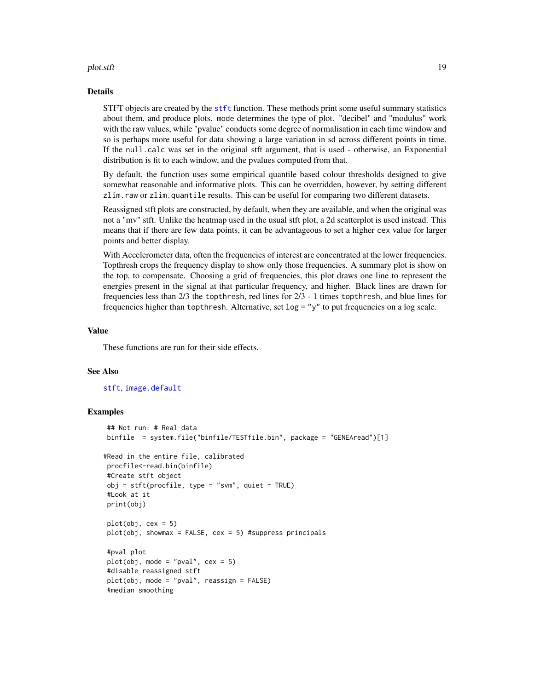#### <span id="page-18-0"></span>plot.stft the contract of the contract of the contract of the contract of the contract of the contract of the contract of the contract of the contract of the contract of the contract of the contract of the contract of the

#### Details

STFT objects are created by the [stft](#page-21-1) function. These methods print some useful summary statistics about them, and produce plots. mode determines the type of plot. "decibel" and "modulus" work with the raw values, while "pvalue" conducts some degree of normalisation in each time window and so is perhaps more useful for data showing a large variation in sd across different points in time. If the null.calc was set in the original stft argument, that is used - otherwise, an Exponential distribution is fit to each window, and the pvalues computed from that.

By default, the function uses some empirical quantile based colour thresholds designed to give somewhat reasonable and informative plots. This can be overridden, however, by setting different zlim.raw or zlim.quantile results. This can be useful for comparing two different datasets.

Reassigned stft plots are constructed, by default, when they are available, and when the original was not a "mv" stft. Unlike the heatmap used in the usual stft plot, a 2d scatterplot is used instead. This means that if there are few data points, it can be advantageous to set a higher cex value for larger points and better display.

With Accelerometer data, often the frequencies of interest are concentrated at the lower frequencies. Topthresh crops the frequency display to show only those frequencies. A summary plot is show on the top, to compensate. Choosing a grid of frequencies, this plot draws one line to represent the energies present in the signal at that particular frequency, and higher. Black lines are drawn for frequencies less than 2/3 the topthresh, red lines for 2/3 - 1 times topthresh, and blue lines for frequencies higher than topthresh. Alternative, set log = "y" to put frequencies on a log scale.

#### Value

These functions are run for their side effects.

#### See Also

[stft](#page-21-1), [image.default](#page-0-0)

```
## Not run: # Real data
binfile = system.file("binfile/TESTfile.bin", package = "GENEAread")[1]
#Read in the entire file, calibrated
procfile<-read.bin(binfile)
#Create stft object
obj = stiff(procfile, type = "swm", quiet = TRUE)#Look at it
print(obj)
plot(obj, cex = 5)plot(obj, shownax = FALSE, cex = 5) #suppress principals
#pval plot
plot(obj, mode = "pval", cex = 5)#disable reassigned stft
plot(obj, mode = "pval", reassign = FALSE)
#median smoothing
```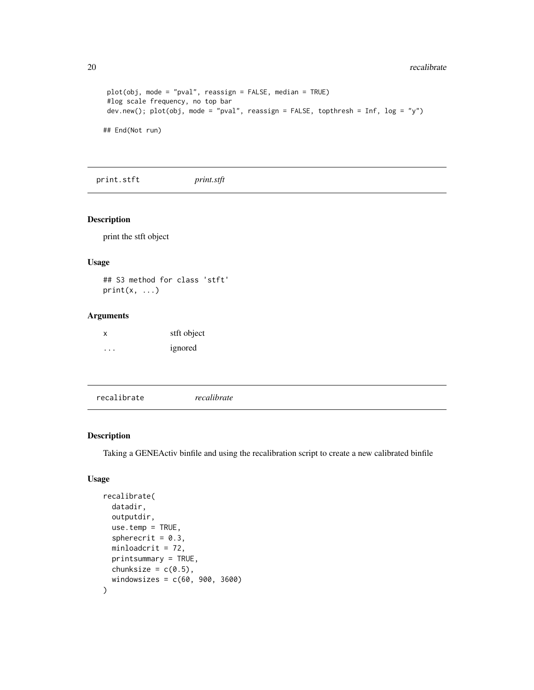```
plot(obj, mode = "pval", reassign = FALSE, median = TRUE)
#log scale frequency, no top bar
dev.new(); plot(obj, mode = "pval", reassign = FALSE, topthresh = Inf, log = "y")
## End(Not run)
```
print.stft *print.stft*

### Description

print the stft object

#### Usage

## S3 method for class 'stft'  $print(x, \ldots)$ 

### Arguments

| X | stft object |
|---|-------------|
| . | ignored     |

| recalibrate | recalibrate |  |
|-------------|-------------|--|
|             |             |  |

### Description

Taking a GENEActiv binfile and using the recalibration script to create a new calibrated binfile

### Usage

```
recalibrate(
  datadir,
  outputdir,
 use.temp = TRUE,
  spherecrit = 0.3,
 minloadcrit = 72,
 printsummary = TRUE,
 chunksize = c(0.5),
  windowsizes = c(60, 900, 3600)
)
```
<span id="page-19-0"></span>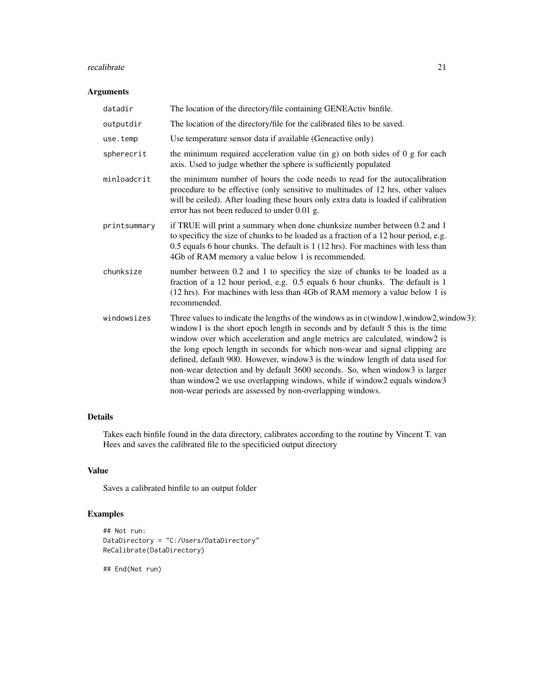#### recalibrate 21

## Arguments

| datadir      | The location of the directory/file containing GENEActiv binfile.                                                                                                                                                                                                                                                                                                                                                                                                                                                                                                                                                                             |
|--------------|----------------------------------------------------------------------------------------------------------------------------------------------------------------------------------------------------------------------------------------------------------------------------------------------------------------------------------------------------------------------------------------------------------------------------------------------------------------------------------------------------------------------------------------------------------------------------------------------------------------------------------------------|
| outputdir    | The location of the directory/file for the calibrated files to be saved.                                                                                                                                                                                                                                                                                                                                                                                                                                                                                                                                                                     |
| use.temp     | Use temperature sensor data if available (Geneactive only)                                                                                                                                                                                                                                                                                                                                                                                                                                                                                                                                                                                   |
| spherecrit   | the minimum required acceleration value (in $g$ ) on both sides of 0 $g$ for each<br>axis. Used to judge whether the sphere is sufficiently populated                                                                                                                                                                                                                                                                                                                                                                                                                                                                                        |
| minloadcrit  | the minimum number of hours the code needs to read for the autocalibration<br>procedure to be effective (only sensitive to multitudes of 12 hrs, other values<br>will be ceiled). After loading these hours only extra data is loaded if calibration<br>error has not been reduced to under 0.01 g.                                                                                                                                                                                                                                                                                                                                          |
| printsummary | if TRUE will print a summary when done chunksize number between 0.2 and 1<br>to specificy the size of chunks to be loaded as a fraction of a 12 hour period, e.g.<br>0.5 equals 6 hour chunks. The default is 1 (12 hrs). For machines with less than<br>4Gb of RAM memory a value below 1 is recommended.                                                                                                                                                                                                                                                                                                                                   |
| chunksize    | number between 0.2 and 1 to specificy the size of chunks to be loaded as a<br>fraction of a 12 hour period, e.g. 0.5 equals 6 hour chunks. The default is 1<br>(12 hrs). For machines with less than 4Gb of RAM memory a value below 1 is<br>recommended.                                                                                                                                                                                                                                                                                                                                                                                    |
| windowsizes  | Three values to indicate the lengths of the windows as in c(window1,window2,window3):<br>window1 is the short epoch length in seconds and by default 5 this is the time<br>window over which acceleration and angle metrics are calculated, window2 is<br>the long epoch length in seconds for which non-wear and signal clipping are<br>defined, default 900. However, window3 is the window length of data used for<br>non-wear detection and by default 3600 seconds. So, when window3 is larger<br>than window2 we use overlapping windows, while if window2 equals window3<br>non-wear periods are assessed by non-overlapping windows. |

# Details

Takes each binfile found in the data directory, calibrates according to the routine by Vincent T. van Hees and saves the calibrated file to the specificied output directory

# Value

Saves a calibrated binfile to an output folder

# Examples

```
## Not run:
DataDirectory = "C:/Users/DataDirectory"
ReCalibrate(DataDirectory)
```
## End(Not run)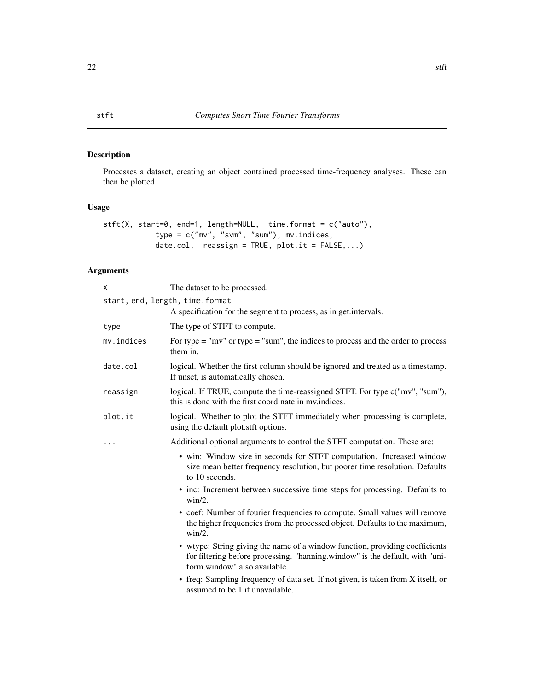# <span id="page-21-1"></span><span id="page-21-0"></span>Description

Processes a dataset, creating an object contained processed time-frequency analyses. These can then be plotted.

### Usage

```
stft(X, start=0, end=1, length=NULL, time.format = c("auto"),
            type = c("mv", "svm", "sum"), mv.indices,
            date.col, reassign = TRUE, plot.it = FALSE,...)
```
# Arguments

| X                               | The dataset to be processed.                                                                                                                                                                 |
|---------------------------------|----------------------------------------------------------------------------------------------------------------------------------------------------------------------------------------------|
| start, end, length, time.format |                                                                                                                                                                                              |
|                                 | A specification for the segment to process, as in get.intervals.                                                                                                                             |
| type                            | The type of STFT to compute.                                                                                                                                                                 |
| mv.indices                      | For type $=$ "mv" or type $=$ "sum", the indices to process and the order to process<br>them in.                                                                                             |
| date.col                        | logical. Whether the first column should be ignored and treated as a timestamp.<br>If unset, is automatically chosen.                                                                        |
| reassign                        | logical. If TRUE, compute the time-reassigned STFT. For type c("mv", "sum"),<br>this is done with the first coordinate in my indices.                                                        |
| plot.it                         | logical. Whether to plot the STFT immediately when processing is complete,<br>using the default plot.stft options.                                                                           |
|                                 | Additional optional arguments to control the STFT computation. These are:                                                                                                                    |
|                                 | • win: Window size in seconds for STFT computation. Increased window<br>size mean better frequency resolution, but poorer time resolution. Defaults<br>to 10 seconds.                        |
|                                 | • inc: Increment between successive time steps for processing. Defaults to<br>$win/2$ .                                                                                                      |
|                                 | • coef: Number of fourier frequencies to compute. Small values will remove<br>the higher frequencies from the processed object. Defaults to the maximum,<br>$win/2$ .                        |
|                                 | • wtype: String giving the name of a window function, providing coefficients<br>for filtering before processing. "hanning window" is the default, with "uni-<br>form.window" also available. |
|                                 | • freq: Sampling frequency of data set. If not given, is taken from X itself, or<br>assumed to be 1 if unavailable.                                                                          |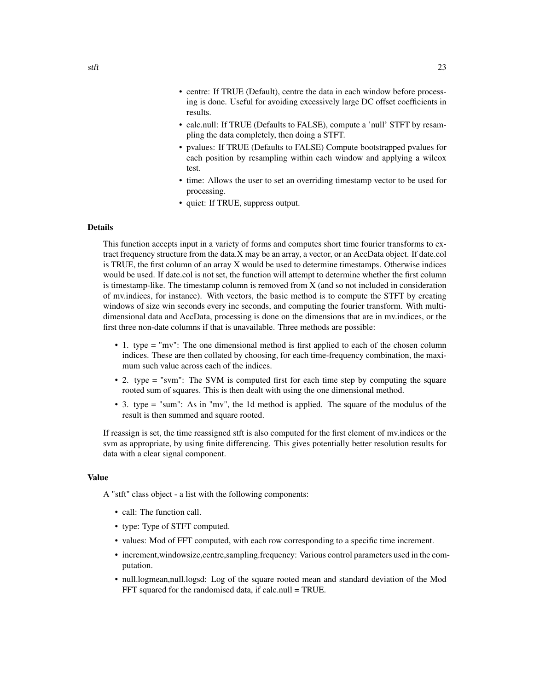- centre: If TRUE (Default), centre the data in each window before processing is done. Useful for avoiding excessively large DC offset coefficients in results.
- calc.null: If TRUE (Defaults to FALSE), compute a 'null' STFT by resampling the data completely, then doing a STFT.
- pvalues: If TRUE (Defaults to FALSE) Compute bootstrapped pvalues for each position by resampling within each window and applying a wilcox test.
- time: Allows the user to set an overriding timestamp vector to be used for processing.
- quiet: If TRUE, suppress output.

#### Details

This function accepts input in a variety of forms and computes short time fourier transforms to extract frequency structure from the data.X may be an array, a vector, or an AccData object. If date.col is TRUE, the first column of an array X would be used to determine timestamps. Otherwise indices would be used. If date.col is not set, the function will attempt to determine whether the first column is timestamp-like. The timestamp column is removed from  $X$  (and so not included in consideration of mv.indices, for instance). With vectors, the basic method is to compute the STFT by creating windows of size win seconds every inc seconds, and computing the fourier transform. With multidimensional data and AccData, processing is done on the dimensions that are in mv.indices, or the first three non-date columns if that is unavailable. Three methods are possible:

- 1. type = "mv": The one dimensional method is first applied to each of the chosen column indices. These are then collated by choosing, for each time-frequency combination, the maximum such value across each of the indices.
- 2. type = "svm": The SVM is computed first for each time step by computing the square rooted sum of squares. This is then dealt with using the one dimensional method.
- 3. type = "sum": As in "mv", the 1d method is applied. The square of the modulus of the result is then summed and square rooted.

If reassign is set, the time reassigned stft is also computed for the first element of mv.indices or the svm as appropriate, by using finite differencing. This gives potentially better resolution results for data with a clear signal component.

#### Value

A "stft" class object - a list with the following components:

- call: The function call.
- type: Type of STFT computed.
- values: Mod of FFT computed, with each row corresponding to a specific time increment.
- increment,windowsize,centre,sampling.frequency: Various control parameters used in the computation.
- null.logmean,null.logsd: Log of the square rooted mean and standard deviation of the Mod FFT squared for the randomised data, if calc.null = TRUE.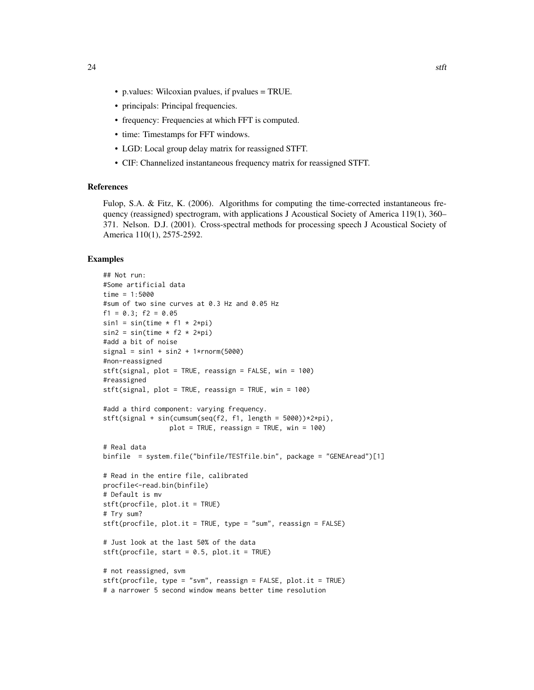- p.values: Wilcoxian pvalues, if pvalues = TRUE.
- principals: Principal frequencies.
- frequency: Frequencies at which FFT is computed.
- time: Timestamps for FFT windows.
- LGD: Local group delay matrix for reassigned STFT.
- CIF: Channelized instantaneous frequency matrix for reassigned STFT.

#### References

Fulop, S.A. & Fitz, K. (2006). Algorithms for computing the time-corrected instantaneous frequency (reassigned) spectrogram, with applications J Acoustical Society of America 119(1), 360– 371. Nelson. D.J. (2001). Cross-spectral methods for processing speech J Acoustical Society of America 110(1), 2575-2592.

```
## Not run:
#Some artificial data
time = 1:5000
#sum of two sine curves at 0.3 Hz and 0.05 Hz
f1 = 0.3; f2 = 0.05sin1 = sin(time * f1 * 2*pi)sin2 = sin(time * f2 * 2*pi)#add a bit of noise
signal = sinh + sin2 + 1*rnorm(5000)#non-reassigned
stft(signal, plot = TRUE, reassign = FALSE, win = 100)
#reassigned
stft(signal, plot = TRUE, reassign = TRUE, win = 100)
#add a third component: varying frequency.
stft(signal + sin(cumsum(seq(f2, f1, length = 5000))*2*pi),plot = TRUE, reassign = TRUE, win = 100)
# Real data
binfile = system.file("binfile/TESTfile.bin", package = "GENEAread")[1]
# Read in the entire file, calibrated
procfile<-read.bin(binfile)
# Default is mv
stft(procfile, plot.it = TRUE)
# Try sum?
stft(procfile, plot.it = TRUE, type = "sum", reassign = FALSE)
# Just look at the last 50% of the data
stft(procfile, start = 0.5, plot.it = TRUE)# not reassigned, svm
stft(procfile, type = "svm", reassign = FALSE, plot.it = TRUE)
# a narrower 5 second window means better time resolution
```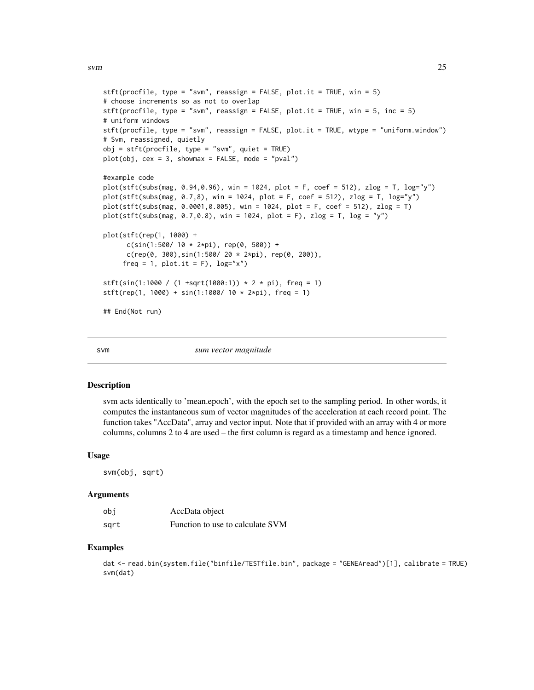```
stft(procfile, type = "swm", reassign = FALSE, plot.it = TRUE, win = 5)# choose increments so as not to overlap
stft(procfile, type = "svm", reassign = FALSE, plot.it = TRUE, win = 5, inc = 5)
# uniform windows
stft(procfile, type = "svm", reassign = FALSE, plot.it = TRUE, wtype = "uniform.window")
# Svm, reassigned, quietly
obj = stiff(procfile, type = "swm", quiet = TRUE)plot(obj, cex = 3, showmax = FALSE, mode = "pval")#example code
plot(stft(subs(mag, 0.94,0.96), win = 1024, plot = F, coef = 512), zlog = T, log="y")
plot(stft(subs(mag, 0.7,8), win = 1024, plot = F, coef = 512), zlog = T, log="y")
plot(stft(subs(mag, 0.0001,0.005), win = 1024, plot = F, coef = 512), zlog = T)
plot(stft(subs(mag, 0.7, 0.8), win = 1024, plot = F), zlog = T, log = "y")
plot(stft(rep(1, 1000) +
     c(sin(1:500/ 10 * 2*pi), rep(0, 500)) +
     c(rep(\theta, 300), sin(1:500/20 * 2*pi), rep(\theta, 200)),freq = 1, plot.it = F), log="x")
stft(sin(1:1000 / (1 +sqrt(1000:1)) * 2 * pi, freq = 1)
stft(rep(1, 1000) + sin(1:1000/ 10 * 2*pi), freq = 1)## End(Not run)
```
svm *sum vector magnitude*

#### Description

svm acts identically to 'mean.epoch', with the epoch set to the sampling period. In other words, it computes the instantaneous sum of vector magnitudes of the acceleration at each record point. The function takes "AccData", array and vector input. Note that if provided with an array with 4 or more columns, columns 2 to 4 are used – the first column is regard as a timestamp and hence ignored.

#### Usage

svm(obj, sqrt)

#### Arguments

| obi  | AccData object                   |
|------|----------------------------------|
| sart | Function to use to calculate SVM |

```
dat <- read.bin(system.file("binfile/TESTfile.bin", package = "GENEAread")[1], calibrate = TRUE)
svm(dat)
```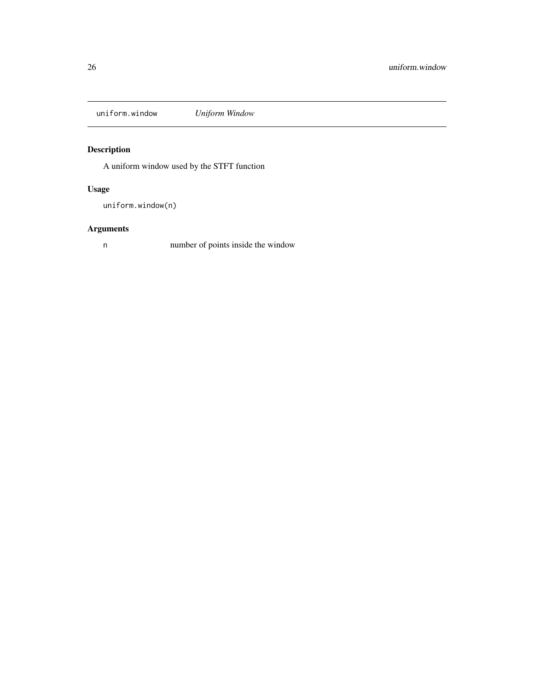<span id="page-25-0"></span>uniform.window *Uniform Window*

# Description

A uniform window used by the STFT function

# Usage

uniform.window(n)

# Arguments

n number of points inside the window